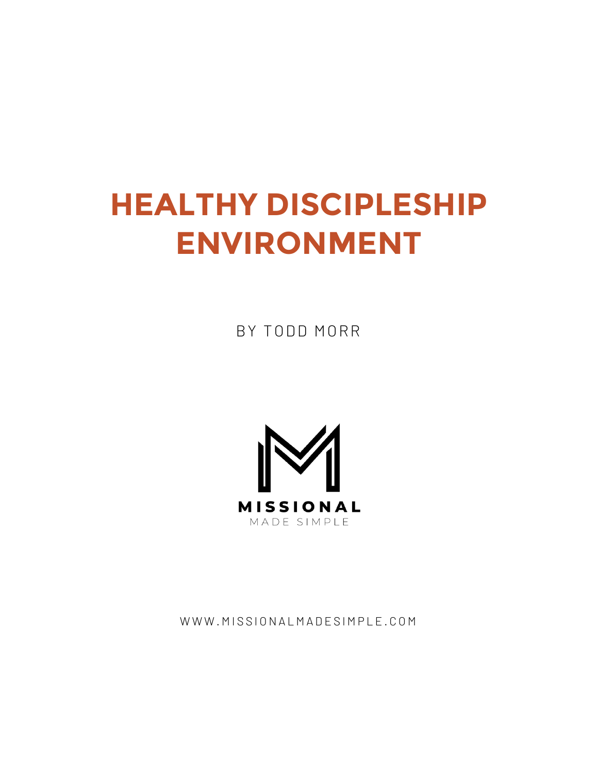# **HEALTHY DISCIPLESHIP ENVIRONMENT**

BY TODD MORR



WWW.MISSIONALMADESIMPLE.COM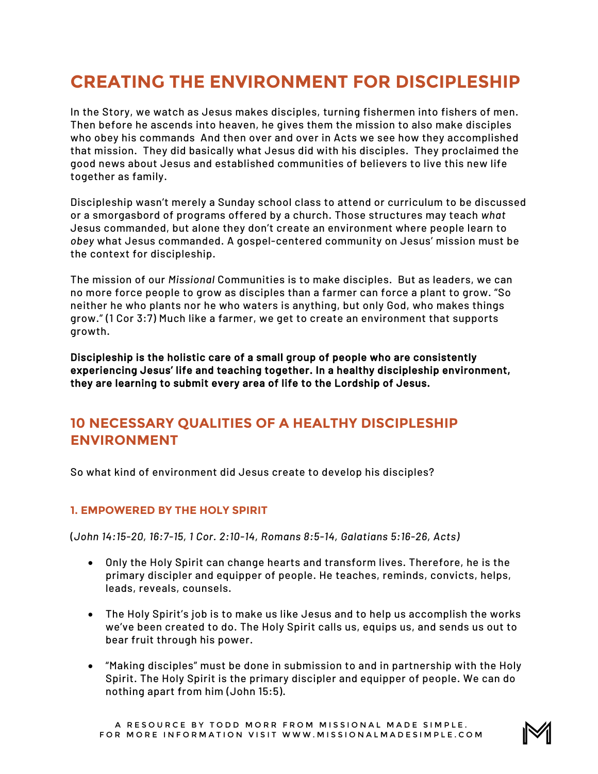## **CREATING THE ENVIRONMENT FOR DISCIPLESHIP**

In the Story, we watch as Jesus makes disciples, turning fishermen into fishers of men. Then before he ascends into heaven, he gives them the mission to also make disciples who obey his commands And then over and over in Acts we see how they accomplished that mission. They did basically what Jesus did with his disciples. They proclaimed the good news about Jesus and established communities of believers to live this new life together as family.

Discipleship wasn't merely a Sunday school class to attend or curriculum to be discussed or a smorgasbord of programs offered by a church. Those structures may teach *what* Jesus commanded, but alone they don't create an environment where people learn to *obey* what Jesus commanded. A gospel-centered community on Jesus' mission must be the context for discipleship.

The mission of our *Missional* Communities is to make disciples. But as leaders, we can no more force people to grow as disciples than a farmer can force a plant to grow. "So neither he who plants nor he who waters is anything, but only God, who makes things grow." (1 Cor 3:7) Much like a farmer, we get to create an environment that supports growth.

Discipleship is the holistic care of a small group of people who are consistently experiencing Jesus' life and teaching together. In a healthy discipleship environment, they are learning to submit every area of life to the Lordship of Jesus.

### **10 NECESSARY QUALITIES OF A HEALTHY DISCIPLESHIP ENVIRONMENT**

So what kind of environment did Jesus create to develop his disciples?

#### **1. EMPOWERED BY THE HOLY SPIRIT**

(*John 14:15-20, 16:7-15, 1 Cor. 2:10-14, Romans 8:5-14, Galatians 5:16-26, Acts)*

- Only the Holy Spirit can change hearts and transform lives. Therefore, he is the primary discipler and equipper of people. He teaches, reminds, convicts, helps, leads, reveals, counsels.
- The Holy Spirit's job is to make us like Jesus and to help us accomplish the works we've been created to do. The Holy Spirit calls us, equips us, and sends us out to bear fruit through his power.
- "Making disciples" must be done in submission to and in partnership with the Holy Spirit. The Holy Spirit is the primary discipler and equipper of people. We can do nothing apart from him (John 15:5).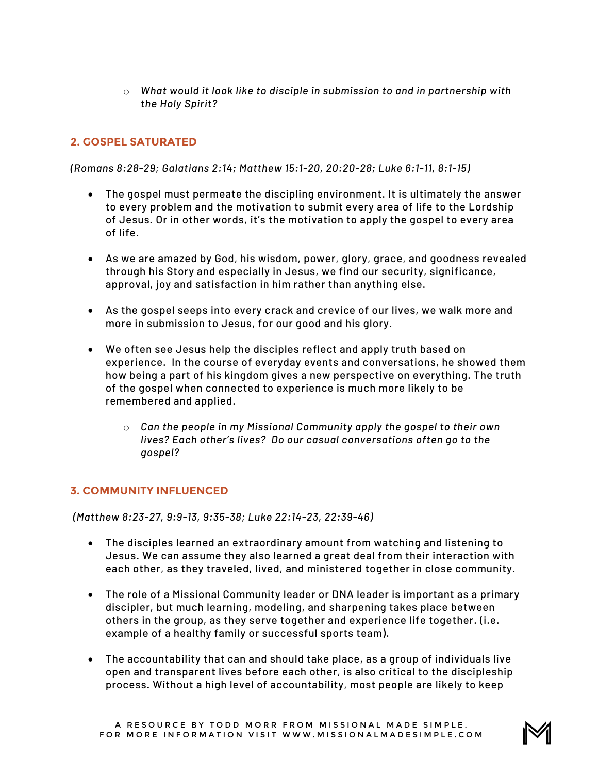o *What would it look like to disciple in submission to and in partnership with the Holy Spirit?* 

#### **2. GOSPEL SATURATED**

*(Romans 8:28-29; Galatians 2:14; Matthew 15:1-20, 20:20-28; Luke 6:1-11, 8:1-15)*

- The gospel must permeate the discipling environment. It is ultimately the answer to every problem and the motivation to submit every area of life to the Lordship of Jesus. Or in other words, it's the motivation to apply the gospel to every area of life.
- As we are amazed by God, his wisdom, power, glory, grace, and goodness revealed through his Story and especially in Jesus, we find our security, significance, approval, joy and satisfaction in him rather than anything else.
- As the gospel seeps into every crack and crevice of our lives, we walk more and more in submission to Jesus, for our good and his glory.
- We often see Jesus help the disciples reflect and apply truth based on experience. In the course of everyday events and conversations, he showed them how being a part of his kingdom gives a new perspective on everything. The truth of the gospel when connected to experience is much more likely to be remembered and applied.
	- o *Can the people in my Missional Community apply the gospel to their own lives? Each other's lives? Do our casual conversations often go to the gospel?*

#### **3. COMMUNITY INFLUENCED**

*(Matthew 8:23-27, 9:9-13, 9:35-38; Luke 22:14-23, 22:39-46)*

- The disciples learned an extraordinary amount from watching and listening to Jesus. We can assume they also learned a great deal from their interaction with each other, as they traveled, lived, and ministered together in close community.
- The role of a Missional Community leader or DNA leader is important as a primary discipler, but much learning, modeling, and sharpening takes place between others in the group, as they serve together and experience life together. (i.e. example of a healthy family or successful sports team).
- The accountability that can and should take place, as a group of individuals live open and transparent lives before each other, is also critical to the discipleship process. Without a high level of accountability, most people are likely to keep

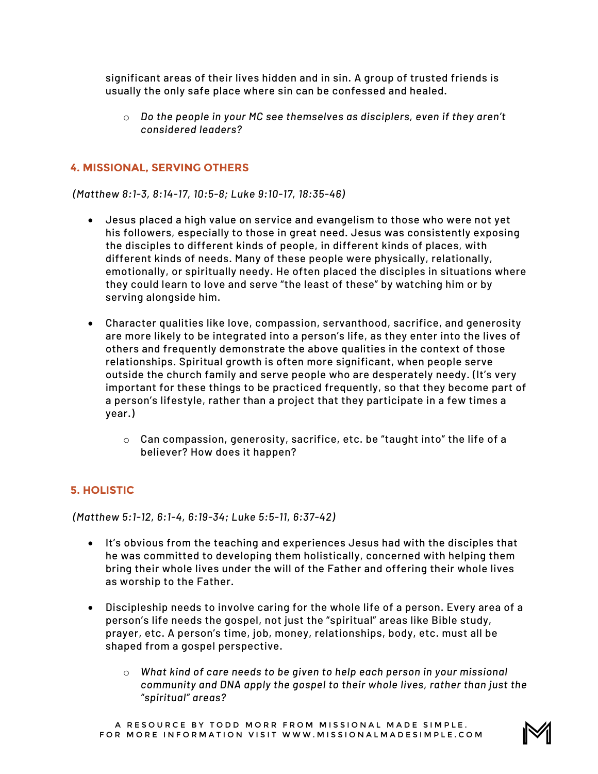significant areas of their lives hidden and in sin. A group of trusted friends is usually the only safe place where sin can be confessed and healed.

o *Do the people in your MC see themselves as disciplers, even if they aren't considered leaders?* 

#### **4. MISSIONAL, SERVING OTHERS**

*(Matthew 8:1-3, 8:14-17, 10:5-8; Luke 9:10-17, 18:35-46)*

- Jesus placed a high value on service and evangelism to those who were not yet his followers, especially to those in great need. Jesus was consistently exposing the disciples to different kinds of people, in different kinds of places, with different kinds of needs. Many of these people were physically, relationally, emotionally, or spiritually needy. He often placed the disciples in situations where they could learn to love and serve "the least of these" by watching him or by serving alongside him.
- Character qualities like love, compassion, servanthood, sacrifice, and generosity are more likely to be integrated into a person's life, as they enter into the lives of others and frequently demonstrate the above qualities in the context of those relationships. Spiritual growth is often more significant, when people serve outside the church family and serve people who are desperately needy. (It's very important for these things to be practiced frequently, so that they become part of a person's lifestyle, rather than a project that they participate in a few times a year.)
	- $\circ$  Can compassion, generosity, sacrifice, etc. be "taught into" the life of a believer? How does it happen?

#### **5. HOLISTIC**

*(Matthew 5:1-12, 6:1-4, 6:19-34; Luke 5:5-11, 6:37-42)*

- It's obvious from the teaching and experiences Jesus had with the disciples that he was committed to developing them holistically, concerned with helping them bring their whole lives under the will of the Father and offering their whole lives as worship to the Father.
- Discipleship needs to involve caring for the whole life of a person. Every area of a person's life needs the gospel, not just the "spiritual" areas like Bible study, prayer, etc. A person's time, job, money, relationships, body, etc. must all be shaped from a gospel perspective.
	- o *What kind of care needs to be given to help each person in your missional community and DNA apply the gospel to their whole lives, rather than just the "spiritual" areas?*

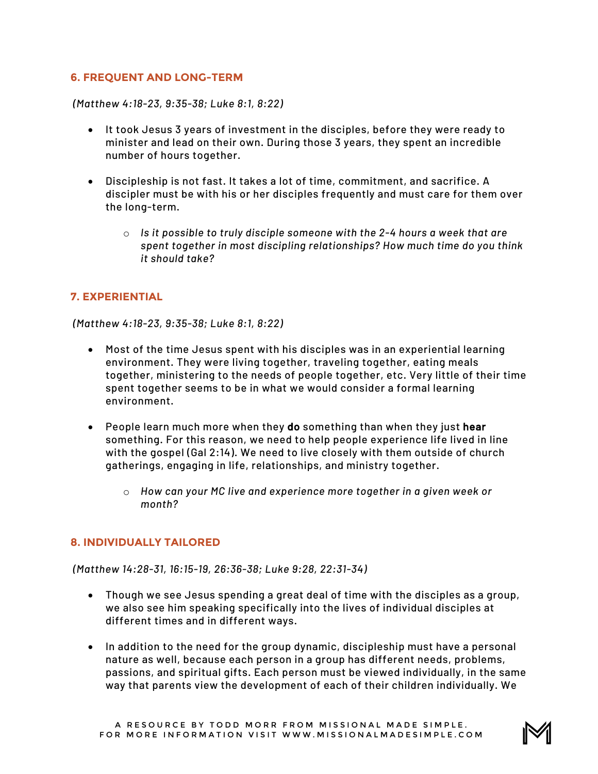#### **6. FREQUENT AND LONG-TERM**

*(Matthew 4:18-23, 9:35-38; Luke 8:1, 8:22)*

- It took Jesus 3 years of investment in the disciples, before they were ready to minister and lead on their own. During those 3 years, they spent an incredible number of hours together.
- Discipleship is not fast. It takes a lot of time, commitment, and sacrifice. A discipler must be with his or her disciples frequently and must care for them over the long-term.
	- o *Is it possible to truly disciple someone with the 2-4 hours a week that are spent together in most discipling relationships? How much time do you think it should take?*

#### **7. EXPERIENTIAL**

*(Matthew 4:18-23, 9:35-38; Luke 8:1, 8:22)*

- Most of the time Jesus spent with his disciples was in an experiential learning environment. They were living together, traveling together, eating meals together, ministering to the needs of people together, etc. Very little of their time spent together seems to be in what we would consider a formal learning environment.
- People learn much more when they do something than when they just hear something. For this reason, we need to help people experience life lived in line with the gospel (Gal 2:14). We need to live closely with them outside of church gatherings, engaging in life, relationships, and ministry together.
	- o *How can your MC live and experience more together in a given week or month?*

#### **8. INDIVIDUALLY TAILORED**

*(Matthew 14:28-31, 16:15-19, 26:36-38; Luke 9:28, 22:31-34)*

- Though we see Jesus spending a great deal of time with the disciples as a group, we also see him speaking specifically into the lives of individual disciples at different times and in different ways.
- In addition to the need for the group dynamic, discipleship must have a personal nature as well, because each person in a group has different needs, problems, passions, and spiritual gifts. Each person must be viewed individually, in the same way that parents view the development of each of their children individually. We